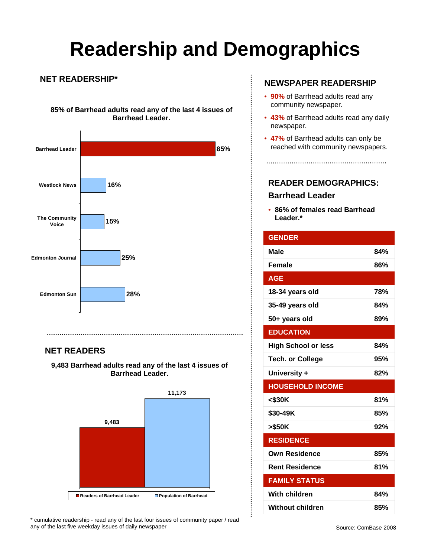# **Readership and Demographics**

 $\vdots$ 

#### **NET READERSHIP\***

**85% of Barrhead adults read any of the last 4 issues of Barrhead Leader.**



### **NET READERS**

**9,483 Barrhead adults read any of the last 4 issues of Barrhead Leader.** 



\* cumulative readership - read any of the last four issues of community paper / read any of the last five weekday issues of daily newspaper

### **NEWSPAPER READERSHIP**

- **90%** of Barrhead adults read any community newspaper.
- **43%** of Barrhead adults read any daily newspaper.
- **47%** of Barrhead adults can only be reached with community newspapers.

**READER DEMOGRAPHICS: Barrhead Leader**

• **86% of females read Barrhead Leader.\***

| <b>GENDER</b>              |     |
|----------------------------|-----|
| <b>Male</b>                | 84% |
| <b>Female</b>              | 86% |
| <b>AGE</b>                 |     |
| 18-34 years old            | 78% |
| 35-49 years old            | 84% |
| 50+ years old              | 89% |
| <b>EDUCATION</b>           |     |
| <b>High School or less</b> | 84% |
| <b>Tech. or College</b>    | 95% |
| University +               | 82% |
| <b>HOUSEHOLD INCOME</b>    |     |
| $<$ \$30K                  | 81% |
| \$30-49K                   | 85% |
| >\$50K                     | 92% |
| <b>RESIDENCE</b>           |     |
| <b>Own Residence</b>       | 85% |
| <b>Rent Residence</b>      | 81% |
| <b>FAMILY STATUS</b>       |     |
| <b>With children</b>       | 84% |
| <b>Without children</b>    | 85% |